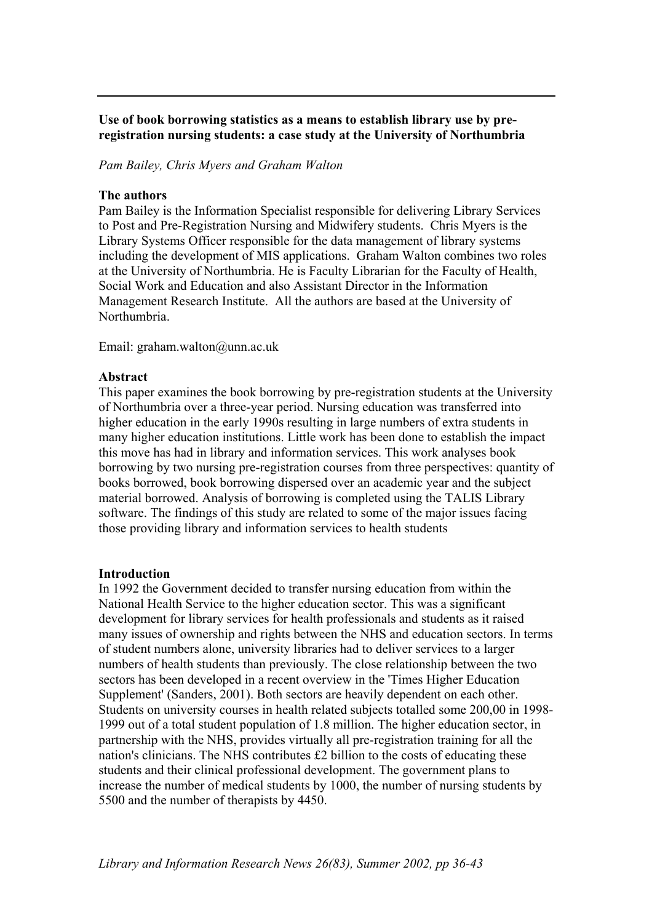# **Use of book borrowing statistics as a means to establish library use by preregistration nursing students: a case study at the University of Northumbria**

*Pam Bailey, Chris Myers and Graham Walton* 

### **The authors**

Pam Bailey is the Information Specialist responsible for delivering Library Services to Post and Pre-Registration Nursing and Midwifery students. Chris Myers is the Library Systems Officer responsible for the data management of library systems including the development of MIS applications. Graham Walton combines two roles at the University of Northumbria. He is Faculty Librarian for the Faculty of Health, Social Work and Education and also Assistant Director in the Information Management Research Institute. All the authors are based at the University of Northumbria.

Email: graham.walton@unn.ac.uk

### **Abstract**

This paper examines the book borrowing by pre-registration students at the University of Northumbria over a three-year period. Nursing education was transferred into higher education in the early 1990s resulting in large numbers of extra students in many higher education institutions. Little work has been done to establish the impact this move has had in library and information services. This work analyses book borrowing by two nursing pre-registration courses from three perspectives: quantity of books borrowed, book borrowing dispersed over an academic year and the subject material borrowed. Analysis of borrowing is completed using the TALIS Library software. The findings of this study are related to some of the major issues facing those providing library and information services to health students

## **Introduction**

In 1992 the Government decided to transfer nursing education from within the National Health Service to the higher education sector. This was a significant development for library services for health professionals and students as it raised many issues of ownership and rights between the NHS and education sectors. In terms of student numbers alone, university libraries had to deliver services to a larger numbers of health students than previously. The close relationship between the two sectors has been developed in a recent overview in the 'Times Higher Education Supplement' (Sanders, 2001). Both sectors are heavily dependent on each other. Students on university courses in health related subjects totalled some 200,00 in 1998- 1999 out of a total student population of 1.8 million. The higher education sector, in partnership with the NHS, provides virtually all pre-registration training for all the nation's clinicians. The NHS contributes £2 billion to the costs of educating these students and their clinical professional development. The government plans to increase the number of medical students by 1000, the number of nursing students by 5500 and the number of therapists by 4450.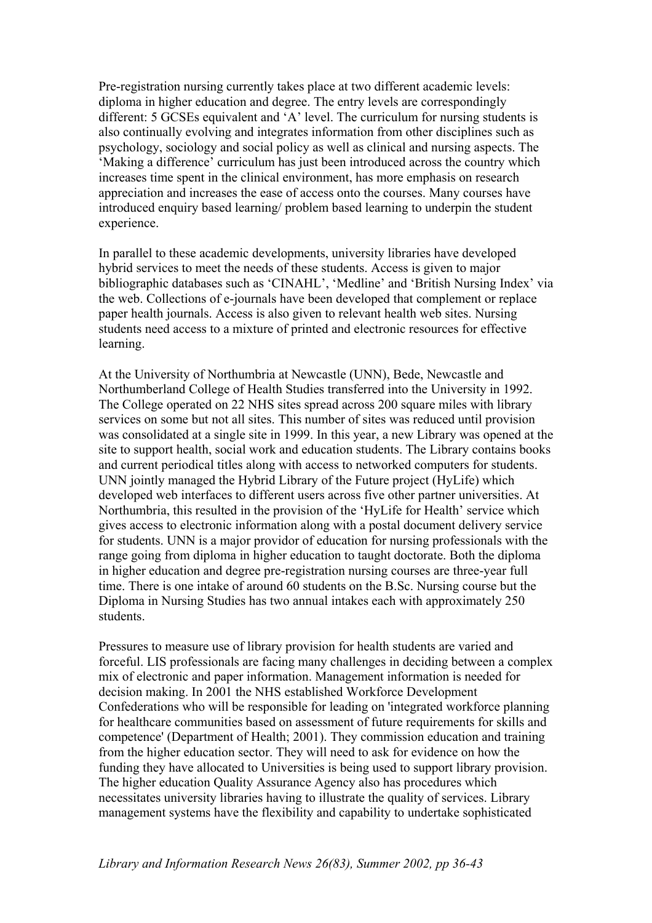Pre-registration nursing currently takes place at two different academic levels: diploma in higher education and degree. The entry levels are correspondingly different: 5 GCSEs equivalent and 'A' level. The curriculum for nursing students is also continually evolving and integrates information from other disciplines such as psychology, sociology and social policy as well as clinical and nursing aspects. The 'Making a difference' curriculum has just been introduced across the country which increases time spent in the clinical environment, has more emphasis on research appreciation and increases the ease of access onto the courses. Many courses have introduced enquiry based learning/ problem based learning to underpin the student experience.

In parallel to these academic developments, university libraries have developed hybrid services to meet the needs of these students. Access is given to major bibliographic databases such as 'CINAHL', 'Medline' and 'British Nursing Index' via the web. Collections of e-journals have been developed that complement or replace paper health journals. Access is also given to relevant health web sites. Nursing students need access to a mixture of printed and electronic resources for effective learning.

At the University of Northumbria at Newcastle (UNN), Bede, Newcastle and Northumberland College of Health Studies transferred into the University in 1992. The College operated on 22 NHS sites spread across 200 square miles with library services on some but not all sites. This number of sites was reduced until provision was consolidated at a single site in 1999. In this year, a new Library was opened at the site to support health, social work and education students. The Library contains books and current periodical titles along with access to networked computers for students. UNN jointly managed the Hybrid Library of the Future project (HyLife) which developed web interfaces to different users across five other partner universities. At Northumbria, this resulted in the provision of the 'HyLife for Health' service which gives access to electronic information along with a postal document delivery service for students. UNN is a major providor of education for nursing professionals with the range going from diploma in higher education to taught doctorate. Both the diploma in higher education and degree pre-registration nursing courses are three-year full time. There is one intake of around 60 students on the B.Sc. Nursing course but the Diploma in Nursing Studies has two annual intakes each with approximately 250 students.

Pressures to measure use of library provision for health students are varied and forceful. LIS professionals are facing many challenges in deciding between a complex mix of electronic and paper information. Management information is needed for decision making. In 2001 the NHS established Workforce Development Confederations who will be responsible for leading on 'integrated workforce planning for healthcare communities based on assessment of future requirements for skills and competence' (Department of Health; 2001). They commission education and training from the higher education sector. They will need to ask for evidence on how the funding they have allocated to Universities is being used to support library provision. The higher education Quality Assurance Agency also has procedures which necessitates university libraries having to illustrate the quality of services. Library management systems have the flexibility and capability to undertake sophisticated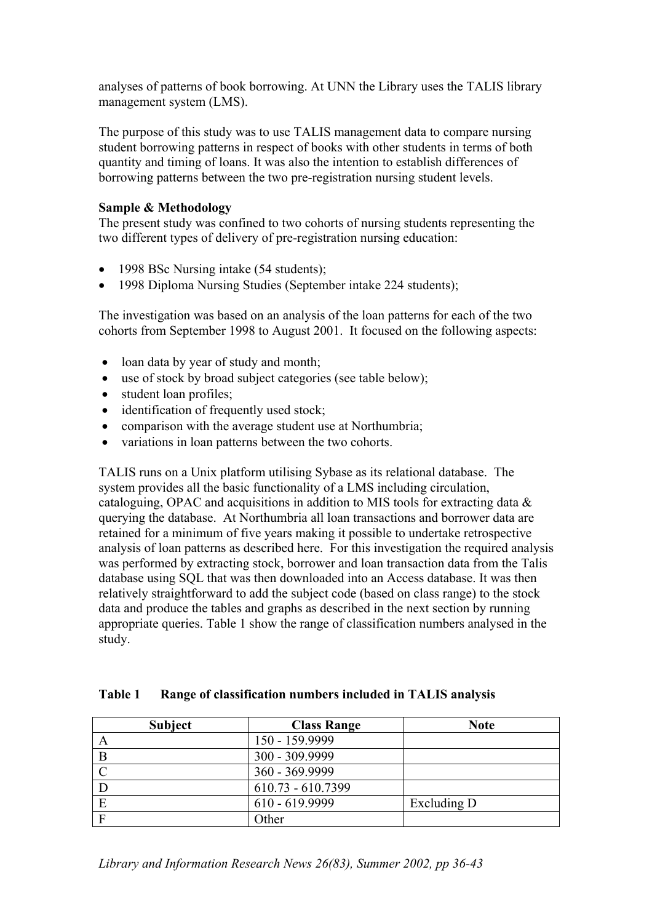analyses of patterns of book borrowing. At UNN the Library uses the TALIS library management system (LMS).

The purpose of this study was to use TALIS management data to compare nursing student borrowing patterns in respect of books with other students in terms of both quantity and timing of loans. It was also the intention to establish differences of borrowing patterns between the two pre-registration nursing student levels.

# **Sample & Methodology**

The present study was confined to two cohorts of nursing students representing the two different types of delivery of pre-registration nursing education:

- 1998 BSc Nursing intake (54 students);
- 1998 Diploma Nursing Studies (September intake 224 students):

The investigation was based on an analysis of the loan patterns for each of the two cohorts from September 1998 to August 2001. It focused on the following aspects:

- loan data by year of study and month;
- use of stock by broad subject categories (see table below);
- student loan profiles;
- identification of frequently used stock;
- comparison with the average student use at Northumbria;
- variations in loan patterns between the two cohorts.

TALIS runs on a Unix platform utilising Sybase as its relational database. The system provides all the basic functionality of a LMS including circulation, cataloguing, OPAC and acquisitions in addition to MIS tools for extracting data & querying the database. At Northumbria all loan transactions and borrower data are retained for a minimum of five years making it possible to undertake retrospective analysis of loan patterns as described here. For this investigation the required analysis was performed by extracting stock, borrower and loan transaction data from the Talis database using SQL that was then downloaded into an Access database. It was then relatively straightforward to add the subject code (based on class range) to the stock data and produce the tables and graphs as described in the next section by running appropriate queries. Table 1 show the range of classification numbers analysed in the study.

|  | Table 1 Range of classification numbers included in TALIS analysis |  |  |
|--|--------------------------------------------------------------------|--|--|
|  |                                                                    |  |  |

| <b>Subject</b> | <b>Class Range</b> | <b>Note</b> |
|----------------|--------------------|-------------|
|                | 150 - 159.9999     |             |
|                | 300 - 309.9999     |             |
| $\cap$         | 360 - 369.9999     |             |
|                | 610.73 - 610.7399  |             |
|                | 610 - 619.9999     | Excluding D |
| F              | Other              |             |

*Library and Information Research News 26(83), Summer 2002, pp 36-43*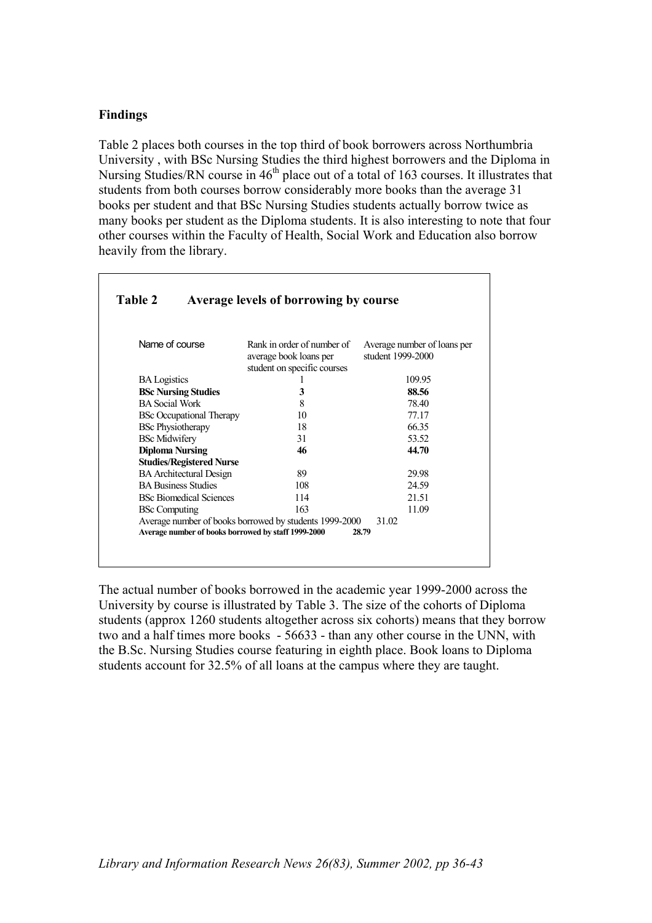## **Findings**

Table 2 places both courses in the top third of book borrowers across Northumbria University , with BSc Nursing Studies the third highest borrowers and the Diploma in Nursing Studies/RN course in  $46<sup>th</sup>$  place out of a total of 163 courses. It illustrates that students from both courses borrow considerably more books than the average 31 books per student and that BSc Nursing Studies students actually borrow twice as many books per student as the Diploma students. It is also interesting to note that four other courses within the Faculty of Health, Social Work and Education also borrow heavily from the library.

| Name of course                  | Rank in order of number of<br>average book loans per<br>student on specific courses | Average number of loans per<br>student 1999-2000 |
|---------------------------------|-------------------------------------------------------------------------------------|--------------------------------------------------|
| <b>BA</b> Logistics             |                                                                                     | 109.95                                           |
| <b>BSc Nursing Studies</b>      | 3                                                                                   | 88.56                                            |
| <b>BA Social Work</b>           | 8                                                                                   | 78.40                                            |
| <b>BSc Occupational Therapy</b> | 10                                                                                  | 77.17                                            |
| <b>BSc Physiotherapy</b>        | 18                                                                                  | 66.35                                            |
| <b>BSc Midwifery</b>            | 31                                                                                  | 53.52                                            |
| <b>Diploma Nursing</b>          | 46                                                                                  | 44.70                                            |
| <b>Studies/Registered Nurse</b> |                                                                                     |                                                  |
| <b>BA</b> Architectural Design  | 89                                                                                  | 29.98                                            |
| <b>BA Business Studies</b>      | 108                                                                                 | 24.59                                            |
| <b>BSc Biomedical Sciences</b>  | 114                                                                                 | 21.51                                            |
| <b>BSc Computing</b>            | 163                                                                                 | 11.09                                            |
|                                 | Average number of books borrowed by students 1999-2000                              | 31.02                                            |

The actual number of books borrowed in the academic year 1999-2000 across the University by course is illustrated by Table 3. The size of the cohorts of Diploma students (approx 1260 students altogether across six cohorts) means that they borrow two and a half times more books - 56633 - than any other course in the UNN, with the B.Sc. Nursing Studies course featuring in eighth place. Book loans to Diploma students account for 32.5% of all loans at the campus where they are taught.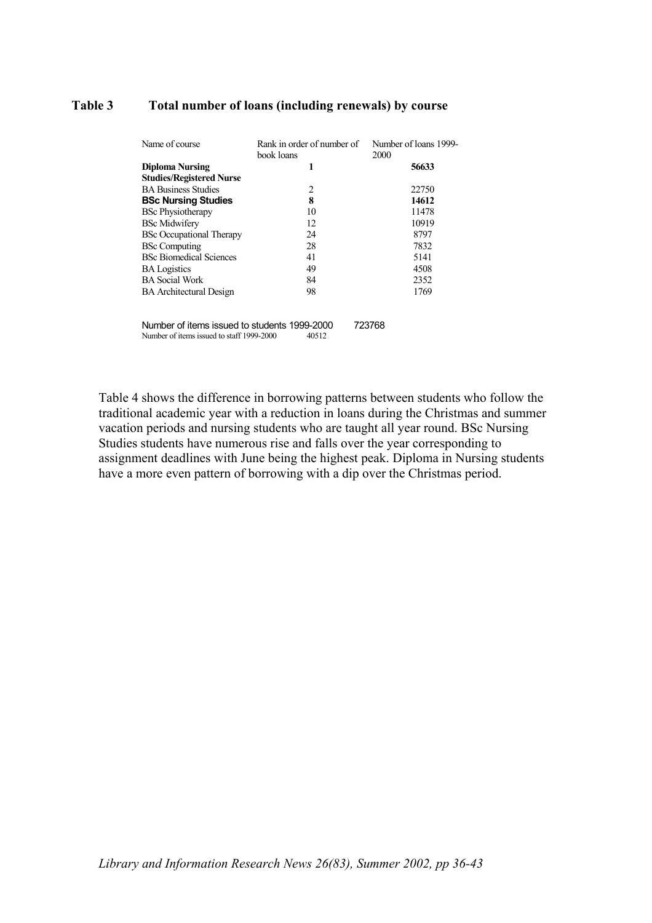#### **Total number of loans (including renewals) by course Table 3**

| Name of course                               | Rank in order of number of<br>book loans | Number of loans 1999-<br>2000 |
|----------------------------------------------|------------------------------------------|-------------------------------|
| <b>Diploma Nursing</b>                       | 1                                        | 56633                         |
| <b>Studies/Registered Nurse</b>              |                                          |                               |
| <b>BA Business Studies</b>                   | 2                                        | 22750                         |
| <b>BSc Nursing Studies</b>                   | 8                                        | 14612                         |
| <b>BSc Physiotherapy</b>                     | 10                                       | 11478                         |
| <b>BSc Midwifery</b>                         | 12                                       | 10919                         |
| <b>BSc Occupational Therapy</b>              | 24                                       | 8797                          |
| <b>BSc Computing</b>                         | 28                                       | 7832                          |
| <b>BSc Biomedical Sciences</b>               | 41                                       | 5141                          |
| <b>BA</b> Logistics                          | 49                                       | 4508                          |
| <b>BA</b> Social Work                        | 84                                       | 2352                          |
| <b>BA</b> Architectural Design               | 98                                       | 1769                          |
| Number of items issued to students 1000 2000 |                                          | 772769                        |

Number of items issued to students 1999-2000 723768<br>Number of items issued to staff 1999-2000 40512 Number of items issued to staff 1999-2000

Table 4 shows the difference in borrowing patterns between students who follow the traditional academic year with a reduction in loans during the Christmas and summer vacation periods and nursing students who are taught all year round. BSc Nursing Studies students have numerous rise and falls over the year corresponding to assignment deadlines with June being the highest peak. Diploma in Nursing students have a more even pattern of borrowing with a dip over the Christmas period.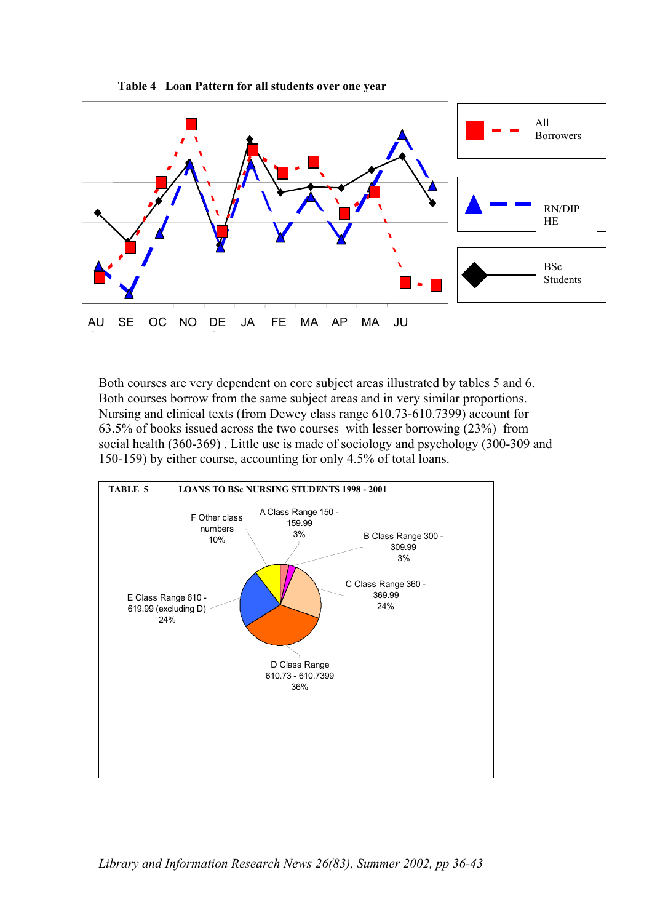

**Table 4 Loan Pattern for all students over one year** 

Both courses are very dependent on core subject areas illustrated by tables 5 and 6. Both courses borrow from the same subject areas and in very similar proportions. Nursing and clinical texts (from Dewey class range 610.73-610.7399) account for 63.5% of books issued across the two courses with lesser borrowing (23%) from social health (360-369) . Little use is made of sociology and psychology (300-309 and 150-159) by either course, accounting for only 4.5% of total loans.

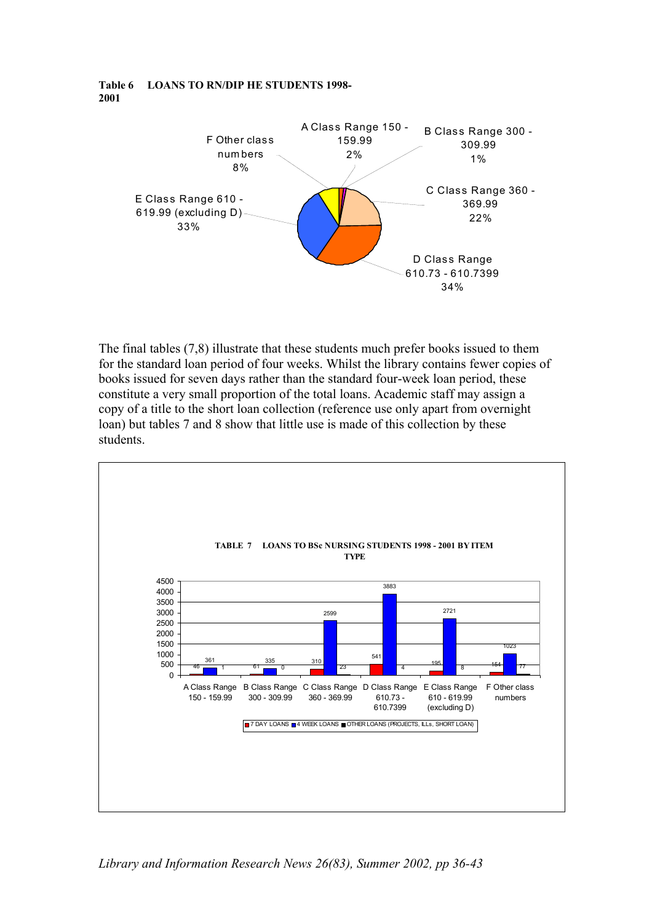#### **Table 6 LOANS TO RN/DIP HE STUDENTS 1998- 2001**



The final tables (7,8) illustrate that these students much prefer books issued to them for the standard loan period of four weeks. Whilst the library contains fewer copies of books issued for seven days rather than the standard four-week loan period, these constitute a very small proportion of the total loans. Academic staff may assign a copy of a title to the short loan collection (reference use only apart from overnight loan) but tables 7 and 8 show that little use is made of this collection by these students.



*Library and Information Research News 26(83), Summer 2002, pp 36-43*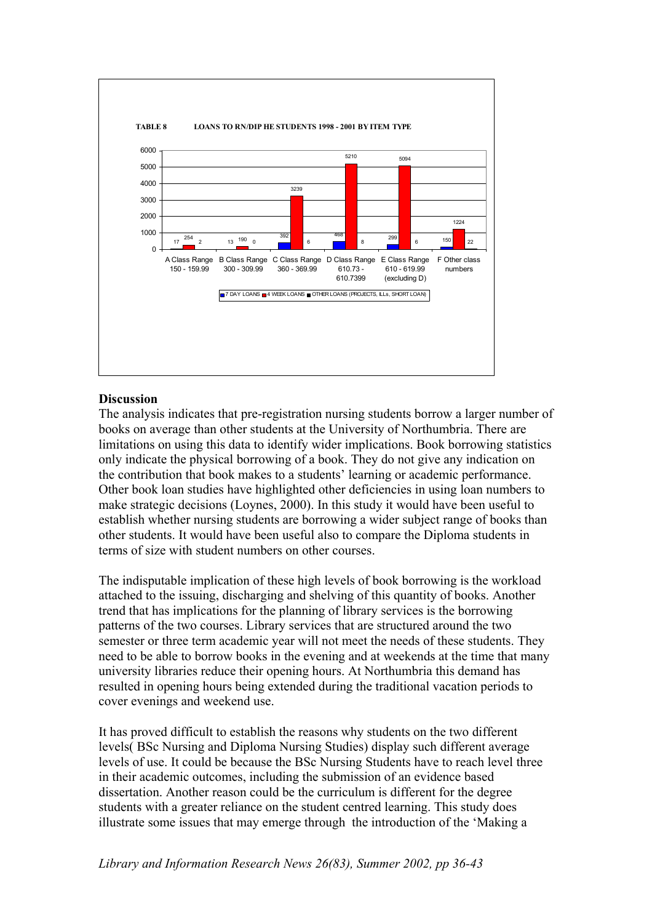

# **Discussion**

The analysis indicates that pre-registration nursing students borrow a larger number of books on average than other students at the University of Northumbria. There are limitations on using this data to identify wider implications. Book borrowing statistics only indicate the physical borrowing of a book. They do not give any indication on the contribution that book makes to a students' learning or academic performance. Other book loan studies have highlighted other deficiencies in using loan numbers to make strategic decisions (Loynes, 2000). In this study it would have been useful to establish whether nursing students are borrowing a wider subject range of books than other students. It would have been useful also to compare the Diploma students in terms of size with student numbers on other courses.

The indisputable implication of these high levels of book borrowing is the workload attached to the issuing, discharging and shelving of this quantity of books. Another trend that has implications for the planning of library services is the borrowing patterns of the two courses. Library services that are structured around the two semester or three term academic year will not meet the needs of these students. They need to be able to borrow books in the evening and at weekends at the time that many university libraries reduce their opening hours. At Northumbria this demand has resulted in opening hours being extended during the traditional vacation periods to cover evenings and weekend use.

It has proved difficult to establish the reasons why students on the two different levels( BSc Nursing and Diploma Nursing Studies) display such different average levels of use. It could be because the BSc Nursing Students have to reach level three in their academic outcomes, including the submission of an evidence based dissertation. Another reason could be the curriculum is different for the degree students with a greater reliance on the student centred learning. This study does illustrate some issues that may emerge through the introduction of the 'Making a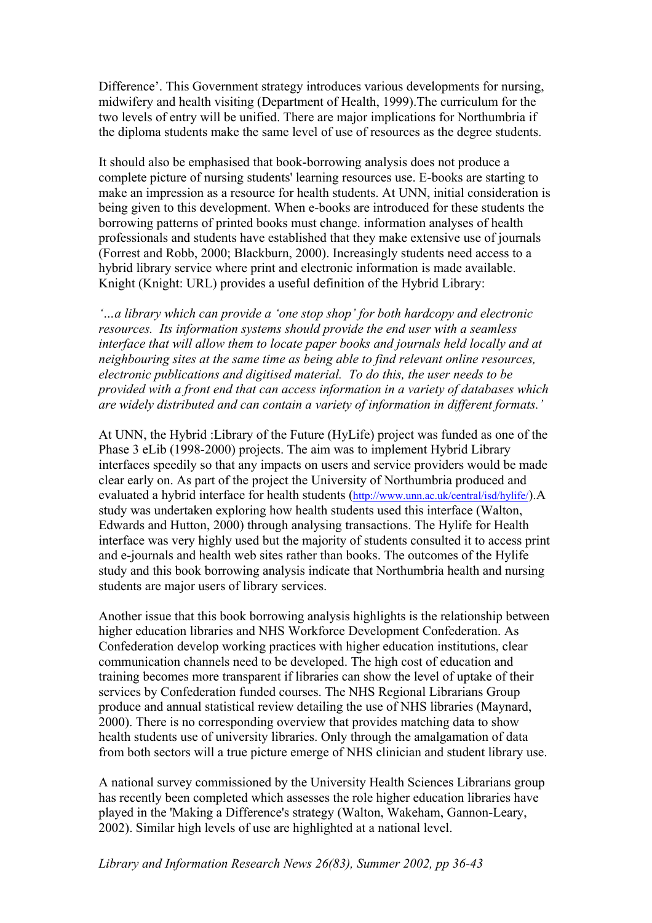Difference'. This Government strategy introduces various developments for nursing, midwifery and health visiting (Department of Health, 1999).The curriculum for the two levels of entry will be unified. There are major implications for Northumbria if the diploma students make the same level of use of resources as the degree students.

It should also be emphasised that book-borrowing analysis does not produce a complete picture of nursing students' learning resources use. E-books are starting to make an impression as a resource for health students. At UNN, initial consideration is being given to this development. When e-books are introduced for these students the borrowing patterns of printed books must change. information analyses of health professionals and students have established that they make extensive use of journals (Forrest and Robb, 2000; Blackburn, 2000). Increasingly students need access to a hybrid library service where print and electronic information is made available. Knight (Knight: URL) provides a useful definition of the Hybrid Library:

*'…a library which can provide a 'one stop shop' for both hardcopy and electronic resources. Its information systems should provide the end user with a seamless interface that will allow them to locate paper books and journals held locally and at neighbouring sites at the same time as being able to find relevant online resources, electronic publications and digitised material. To do this, the user needs to be provided with a front end that can access information in a variety of databases which are widely distributed and can contain a variety of information in different formats.'* 

At UNN, the Hybrid :Library of the Future (HyLife) project was funded as one of the Phase 3 eLib (1998-2000) projects. The aim was to implement Hybrid Library interfaces speedily so that any impacts on users and service providers would be made clear early on. As part of the project the University of Northumbria produced and evaluated a hybrid interface for health students [\(http://www.unn.ac.uk/central/isd/hylife/](http://www.unn.ac.uk/central/isd/hylife/)).A study was undertaken exploring how health students used this interface (Walton, Edwards and Hutton, 2000) through analysing transactions. The Hylife for Health interface was very highly used but the majority of students consulted it to access print and e-journals and health web sites rather than books. The outcomes of the Hylife study and this book borrowing analysis indicate that Northumbria health and nursing students are major users of library services.

Another issue that this book borrowing analysis highlights is the relationship between higher education libraries and NHS Workforce Development Confederation. As Confederation develop working practices with higher education institutions, clear communication channels need to be developed. The high cost of education and training becomes more transparent if libraries can show the level of uptake of their services by Confederation funded courses. The NHS Regional Librarians Group produce and annual statistical review detailing the use of NHS libraries (Maynard, 2000). There is no corresponding overview that provides matching data to show health students use of university libraries. Only through the amalgamation of data from both sectors will a true picture emerge of NHS clinician and student library use.

A national survey commissioned by the University Health Sciences Librarians group has recently been completed which assesses the role higher education libraries have played in the 'Making a Difference's strategy (Walton, Wakeham, Gannon-Leary, 2002). Similar high levels of use are highlighted at a national level.